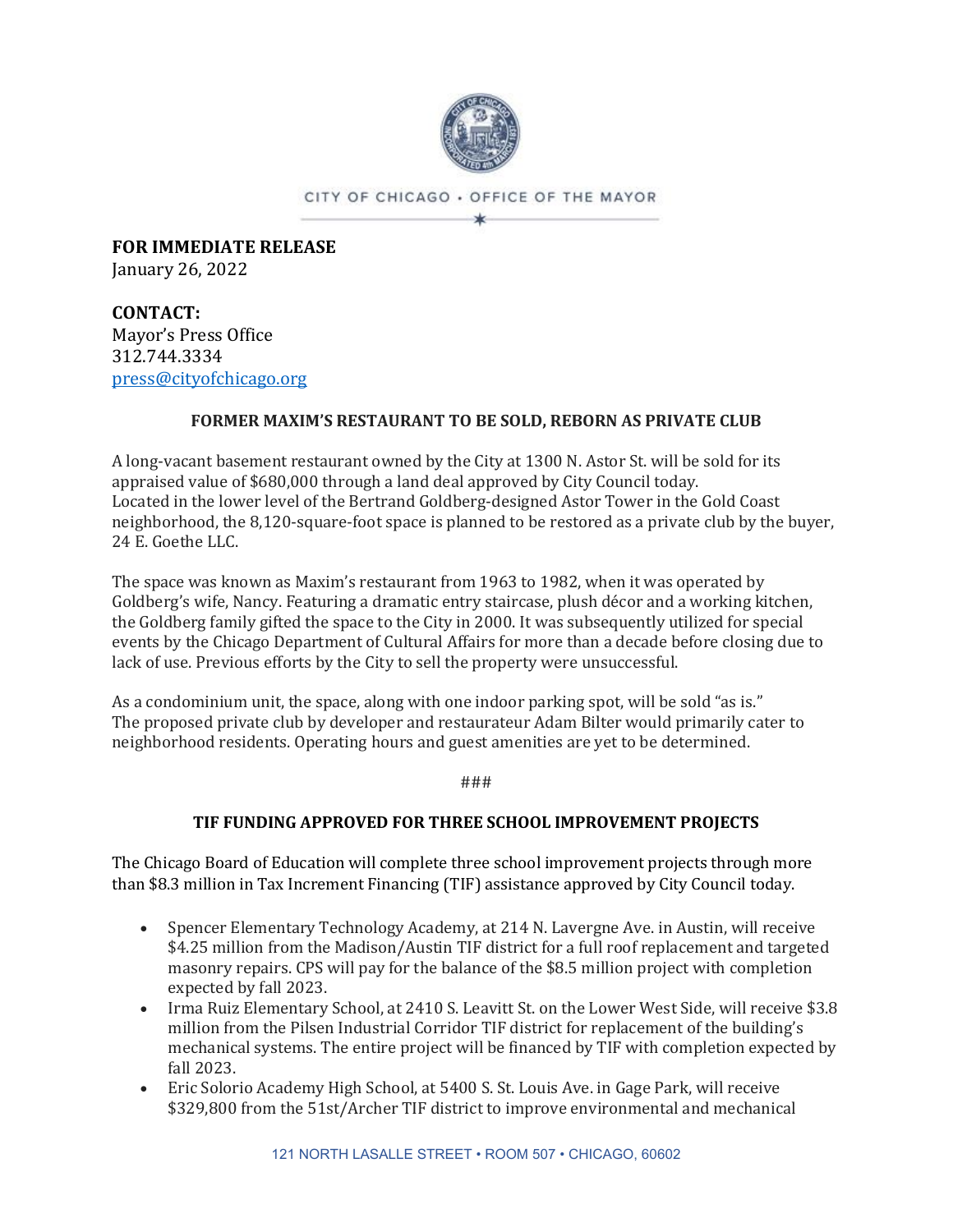

CITY OF CHICAGO . OFFICE OF THE MAYOR ×k.

**FOR IMMEDIATE RELEASE** January 26, 2022

**CONTACT:** Mayor's Press Office 312.744.3334 [press@cityofchicago.org](mailto:press@cityofchicago.org)

### **FORMER MAXIM'S RESTAURANT TO BE SOLD, REBORN AS PRIVATE CLUB**

A long-vacant basement restaurant owned by the City at 1300 N. Astor St. will be sold for its appraised value of \$680,000 through a land deal approved by City Council today. Located in the lower level of the Bertrand Goldberg-designed Astor Tower in the Gold Coast neighborhood, the 8,120-square-foot space is planned to be restored as a private club by the buyer, 24 E. Goethe LLC.

The space was known as Maxim's restaurant from 1963 to 1982, when it was operated by Goldberg's wife, Nancy. Featuring a dramatic entry staircase, plush décor and a working kitchen, the Goldberg family gifted the space to the City in 2000. It was subsequently utilized for special events by the Chicago Department of Cultural Affairs for more than a decade before closing due to lack of use. Previous efforts by the City to sell the property were unsuccessful.

As a condominium unit, the space, along with one indoor parking spot, will be sold "as is." The proposed private club by developer and restaurateur Adam Bilter would primarily cater to neighborhood residents. Operating hours and guest amenities are yet to be determined.

###

## **TIF FUNDING APPROVED FOR THREE SCHOOL IMPROVEMENT PROJECTS**

The Chicago Board of Education will complete three school improvement projects through more than \$8.3 million in Tax Increment Financing (TIF) assistance approved by City Council today.

- Spencer Elementary Technology Academy, at 214 N. Lavergne Ave. in Austin, will receive \$4.25 million from the Madison/Austin TIF district for a full roof replacement and targeted masonry repairs. CPS will pay for the balance of the \$8.5 million project with completion expected by fall 2023.
- Irma Ruiz Elementary School, at 2410 S. Leavitt St. on the Lower West Side, will receive \$3.8 million from the Pilsen Industrial Corridor TIF district for replacement of the building's mechanical systems. The entire project will be financed by TIF with completion expected by fall 2023.
- Eric Solorio Academy High School, at 5400 S. St. Louis Ave. in Gage Park, will receive \$329,800 from the 51st/Archer TIF district to improve environmental and mechanical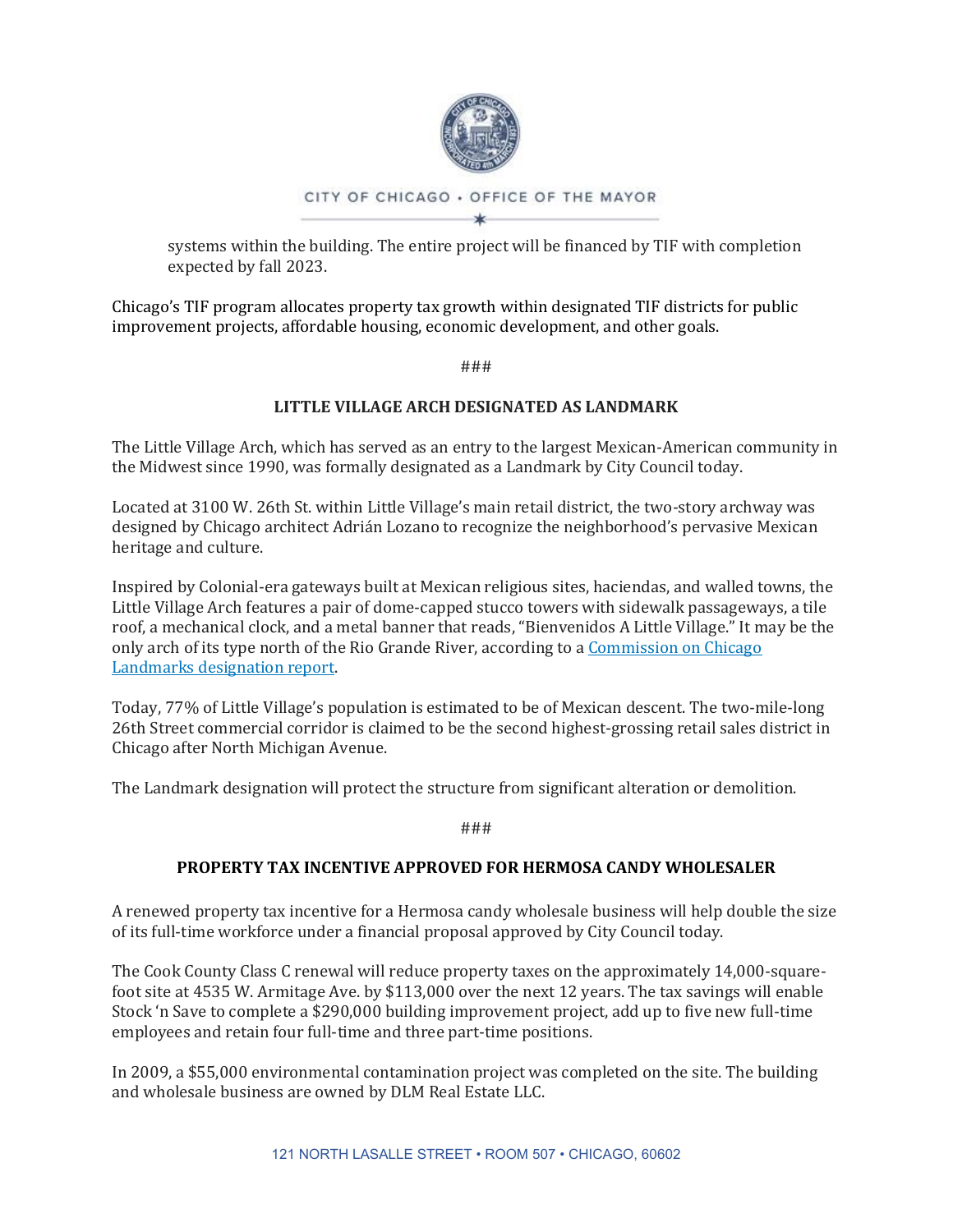

systems within the building. The entire project will be financed by TIF with completion expected by fall 2023.

Chicago's TIF program allocates property tax growth within designated TIF districts for public improvement projects, affordable housing, economic development, and other goals.

###

## **LITTLE VILLAGE ARCH DESIGNATED AS LANDMARK**

The Little Village Arch, which has served as an entry to the largest Mexican-American community in the Midwest since 1990, was formally designated as a Landmark by City Council today.

Located at 3100 W. 26th St. within Little Village's main retail district, the two-story archway was designed by Chicago architect Adrián Lozano to recognize the neighborhood's pervasive Mexican heritage and culture.

Inspired by Colonial-era gateways built at Mexican religious sites, haciendas, and walled towns, the Little Village Arch features a pair of dome-capped stucco towers with sidewalk passageways, a tile roof, a mechanical clock, and a metal banner that reads, "Bienvenidos A Little Village." It may be the only arch of its type north of the Rio Grande River, according to a [Commission on Chicago](https://www.chicago.gov/content/dam/city/depts/zlup/Historic_Preservation/Publications/Little_Village_Arch_Report.pdf)  [Landmarks designation report.](https://www.chicago.gov/content/dam/city/depts/zlup/Historic_Preservation/Publications/Little_Village_Arch_Report.pdf)

Today, 77% of Little Village's population is estimated to be of Mexican descent. The two-mile-long 26th Street commercial corridor is claimed to be the second highest-grossing retail sales district in Chicago after North Michigan Avenue.

The Landmark designation will protect the structure from significant alteration or demolition.

###

## **PROPERTY TAX INCENTIVE APPROVED FOR HERMOSA CANDY WHOLESALER**

A renewed property tax incentive for a Hermosa candy wholesale business will help double the size of its full-time workforce under a financial proposal approved by City Council today.

The Cook County Class C renewal will reduce property taxes on the approximately 14,000-squarefoot site at 4535 W. Armitage Ave. by \$113,000 over the next 12 years. The tax savings will enable Stock 'n Save to complete a \$290,000 building improvement project, add up to five new full-time employees and retain four full-time and three part-time positions.

In 2009, a \$55,000 environmental contamination project was completed on the site. The building and wholesale business are owned by DLM Real Estate LLC.